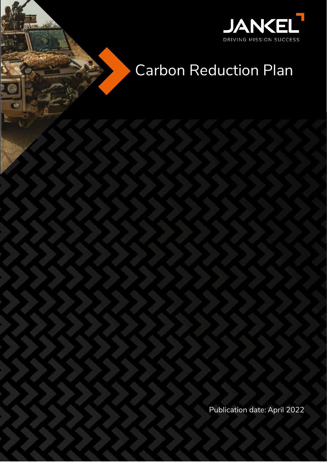

# Carbon Reduction Plan

**Carbon Reduction Plan**

Publication date: April 2022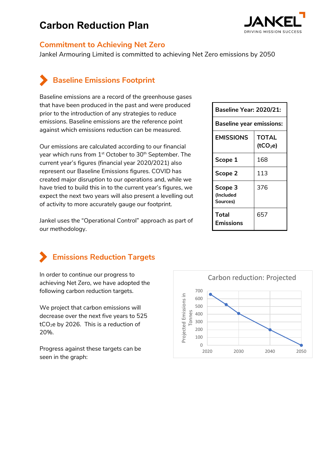## **Carbon Reduction Plan**



#### **Commitment to Achieving Net Zero**

Jankel Armouring Limited is committed to achieving Net Zero emissions by 2050

## **Baseline Emissions Footprint**

Baseline emissions are a record of the greenhouse gases that have been produced in the past and were produced prior to the introduction of any strategies to reduce emissions. Baseline emissions are the reference point against which emissions reduction can be measured.

Our emissions are calculated according to our financial year which runs from 1<sup>st</sup> October to 30<sup>th</sup> September. The current year's figures (financial year 2020/2021) also represent our Baseline Emissions figures. COVID has created major disruption to our operations and, while we have tried to build this in to the current year's figures, we expect the next two years will also present a levelling out of activity to more accurately gauge our footprint.

Jankel uses the "Operational Control" approach as part of our methodology.

### **Baseline Year: 2020/21: Baseline year emissions: EMISSIONS TOTAL (tCO2e) Scope 1** 168 **Scope 2** 113 **Scope 3 (Included Sources)** 376 **Total Emissions** 657



## **Emissions Reduction Targets**

In order to continue our progress to achieving Net Zero, we have adopted the following carbon reduction targets.

We project that carbon emissions will decrease over the next five years to 525  $tCO<sub>2</sub>e$  by 2026. This is a reduction of 20%.

Progress against these targets can be seen in the graph: